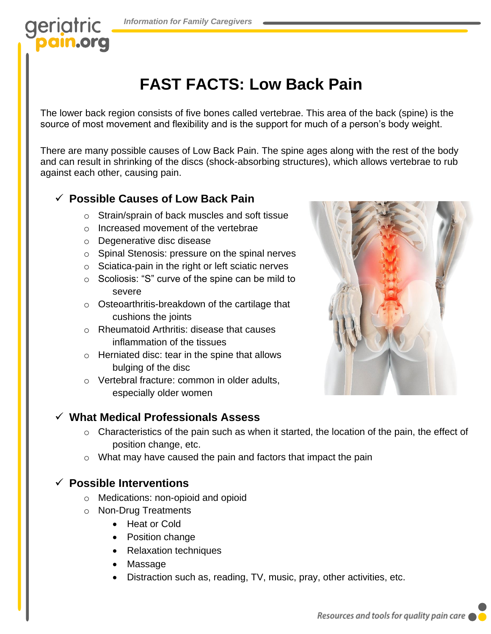## geriatric **am.org**

# **FAST FACTS: Low Back Pain**

The lower back region consists of five bones called vertebrae. This area of the back (spine) is the source of most movement and flexibility and is the support for much of a person's body weight.

There are many possible causes of Low Back Pain. The spine ages along with the rest of the body and can result in shrinking of the discs (shock-absorbing structures), which allows vertebrae to rub against each other, causing pain.

#### ✓ **Possible Causes of Low Back Pain**

- o Strain/sprain of back muscles and soft tissue
- o Increased movement of the vertebrae
- o Degenerative disc disease
- o Spinal Stenosis: pressure on the spinal nerves
- o Sciatica-pain in the right or left sciatic nerves
- o Scoliosis: "S" curve of the spine can be mild to severe
- o Osteoarthritis-breakdown of the cartilage that cushions the joints
- o Rheumatoid Arthritis: disease that causes inflammation of the tissues
- o Herniated disc: tear in the spine that allows bulging of the disc
- o Vertebral fracture: common in older adults, especially older women



#### ✓ **What Medical Professionals Assess**

- o Characteristics of the pain such as when it started, the location of the pain, the effect of position change, etc.
- o What may have caused the pain and factors that impact the pain

#### ✓ **Possible Interventions**

- o Medications: non-opioid and opioid
- o Non-Drug Treatments
	- Heat or Cold
	- Position change
	- Relaxation techniques
	- Massage
	- Distraction such as, reading, TV, music, pray, other activities, etc.